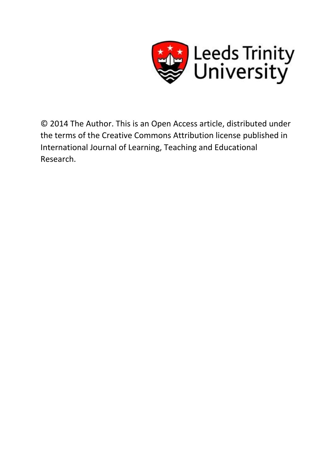

© 2014 The Author. This is an Open Access article, distributed under the terms of the Creative Commons Attribution license published in International Journal of Learning, Teaching and Educational Research.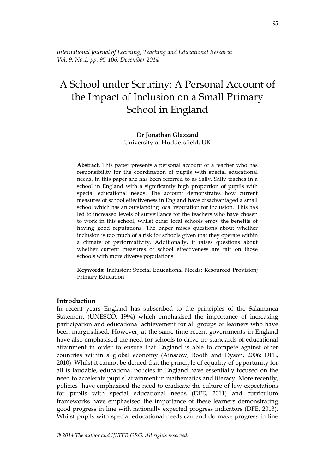*International Journal of Learning, Teaching and Educational Research Vol. 9, No.1, pp. 95-106, December 2014*

# A School under Scrutiny: A Personal Account of the Impact of Inclusion on a Small Primary School in England

# **Dr Jonathan Glazzard** University of Huddersfield, UK

**Abstract.** This paper presents a personal account of a teacher who has responsibility for the coordination of pupils with special educational needs. In this paper she has been referred to as Sally. Sally teaches in a school in England with a significantly high proportion of pupils with special educational needs. The account demonstrates how current measures of school effectiveness in England have disadvantaged a small school which has an outstanding local reputation for inclusion. This has led to increased levels of surveillance for the teachers who have chosen to work in this school, whilst other local schools enjoy the benefits of having good reputations. The paper raises questions about whether inclusion is too much of a risk for schools given that they operate within a climate of performativity. Additionally, it raises questions about whether current measures of school effectiveness are fair on those schools with more diverse populations.

**Keywords:** Inclusion; Special Educational Needs; Resourced Provision; Primary Education

# **Introduction**

In recent years England has subscribed to the principles of the Salamanca Statement (UNESCO, 1994) which emphasised the importance of increasing participation and educational achievement for all groups of learners who have been marginalised. However, at the same time recent governments in England have also emphasised the need for schools to drive up standards of educational attainment in order to ensure that England is able to compete against other countries within a global economy (Ainscow, Booth and Dyson, 2006; DFE, 2010). Whilst it cannot be denied that the principle of equality of opportunity for all is laudable, educational policies in England have essentially focused on the need to accelerate pupils' attainment in mathematics and literacy. More recently, policies have emphasised the need to eradicate the culture of low expectations for pupils with special educational needs (DFE, 2011) and curriculum frameworks have emphasised the importance of these learners demonstrating good progress in line with nationally expected progress indicators (DFE, 2013). Whilst pupils with special educational needs can and do make progress in line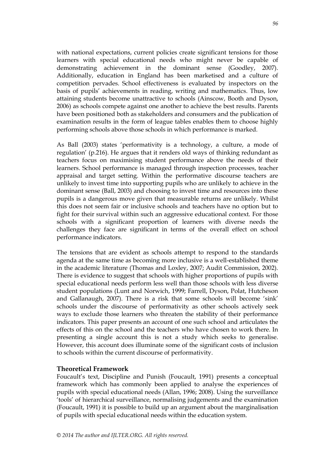with national expectations, current policies create significant tensions for those learners with special educational needs who might never be capable of demonstrating achievement in the dominant sense (Goodley, 2007). Additionally, education in England has been marketised and a culture of competition pervades. School effectiveness is evaluated by inspectors on the basis of pupils" achievements in reading, writing and mathematics. Thus, low attaining students become unattractive to schools (Ainscow, Booth and Dyson, 2006) as schools compete against one another to achieve the best results. Parents have been positioned both as stakeholders and consumers and the publication of examination results in the form of league tables enables them to choose highly performing schools above those schools in which performance is marked.

As Ball (2003) states "performativity is a technology, a culture, a mode of regulation" (p.216). He argues that it renders old ways of thinking redundant as teachers focus on maximising student performance above the needs of their learners. School performance is managed through inspection processes, teacher appraisal and target setting. Within the performative discourse teachers are unlikely to invest time into supporting pupils who are unlikely to achieve in the dominant sense (Ball, 2003) and choosing to invest time and resources into these pupils is a dangerous move given that measurable returns are unlikely. Whilst this does not seem fair or inclusive schools and teachers have no option but to fight for their survival within such an aggressive educational context. For those schools with a significant proportion of learners with diverse needs the challenges they face are significant in terms of the overall effect on school performance indicators.

The tensions that are evident as schools attempt to respond to the standards agenda at the same time as becoming more inclusive is a well-established theme in the academic literature (Thomas and Loxley, 2007; Audit Commission, 2002). There is evidence to suggest that schools with higher proportions of pupils with special educational needs perform less well than those schools with less diverse student populations (Lunt and Norwich, 1999; Farrell, Dyson, Polat, Hutcheson and Gallanaugh, 2007). There is a risk that some schools will become 'sink' schools under the discourse of performativity as other schools actively seek ways to exclude those learners who threaten the stability of their performance indicators. This paper presents an account of one such school and articulates the effects of this on the school and the teachers who have chosen to work there. In presenting a single account this is not a study which seeks to generalise. However, this account does illuminate some of the significant costs of inclusion to schools within the current discourse of performativity.

# **Theoretical Framework**

Foucault"s text, Discipline and Punish (Foucault, 1991) presents a conceptual framework which has commonly been applied to analyse the experiences of pupils with special educational needs (Allan, 1996; 2008). Using the surveillance "tools" of hierarchical surveillance, normalising judgements and the examination (Foucault, 1991) it is possible to build up an argument about the marginalisation of pupils with special educational needs within the education system.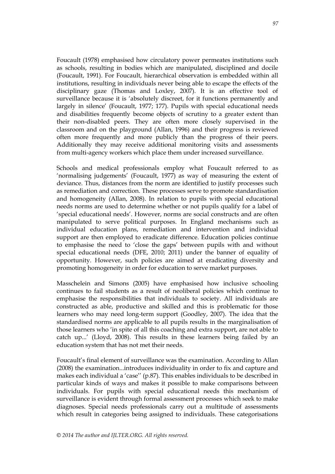Foucault (1978) emphasised how circulatory power permeates institutions such as schools, resulting in bodies which are manipulated, disciplined and docile (Foucault, 1991). For Foucault, hierarchical observation is embedded within all institutions, resulting in individuals never being able to escape the effects of the disciplinary gaze (Thomas and Loxley, 2007). It is an effective tool of surveillance because it is "absolutely discreet, for it functions permanently and largely in silence' (Foucault, 1977; 177). Pupils with special educational needs and disabilities frequently become objects of scrutiny to a greater extent than their non-disabled peers. They are often more closely supervised in the classroom and on the playground (Allan, 1996) and their progress is reviewed often more frequently and more publicly than the progress of their peers. Additionally they may receive additional monitoring visits and assessments from multi-agency workers which place them under increased surveillance.

Schools and medical professionals employ what Foucault referred to as "normalising judgements" (Foucault, 1977) as way of measuring the extent of deviance. Thus, distances from the norm are identified to justify processes such as remediation and correction. These processes serve to promote standardisation and homogeneity (Allan, 2008). In relation to pupils with special educational needs norms are used to determine whether or not pupils qualify for a label of 'special educational needs'. However, norms are social constructs and are often manipulated to serve political purposes. In England mechanisms such as individual education plans, remediation and intervention and individual support are then employed to eradicate difference. Education policies continue to emphasise the need to "close the gaps" between pupils with and without special educational needs (DFE, 2010; 2011) under the banner of equality of opportunity. However, such policies are aimed at eradicating diversity and promoting homogeneity in order for education to serve market purposes.

Masschelein and Simons (2005) have emphasised how inclusive schooling continues to fail students as a result of neoliberal policies which continue to emphasise the responsibilities that individuals to society. All individuals are constructed as able, productive and skilled and this is problematic for those learners who may need long-term support (Goodley, 2007). The idea that the standardised norms are applicable to all pupils results in the marginalisation of those learners who 'in spite of all this coaching and extra support, are not able to catch up..." (Lloyd, 2008). This results in these learners being failed by an education system that has not met their needs.

Foucault"s final element of surveillance was the examination. According to Allan (2008) the examination...introduces individuality in order to fix and capture and makes each individual a 'case'' (p.87). This enables individuals to be described in particular kinds of ways and makes it possible to make comparisons between individuals. For pupils with special educational needs this mechanism of surveillance is evident through formal assessment processes which seek to make diagnoses. Special needs professionals carry out a multitude of assessments which result in categories being assigned to individuals. These categorisations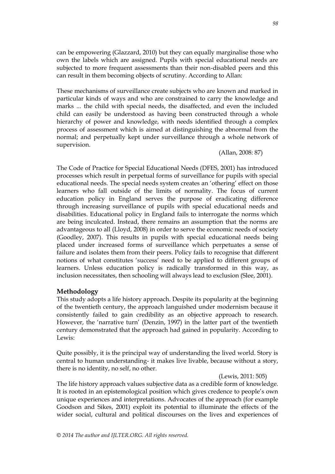can be empowering (Glazzard, 2010) but they can equally marginalise those who own the labels which are assigned. Pupils with special educational needs are subjected to more frequent assessments than their non-disabled peers and this can result in them becoming objects of scrutiny. According to Allan:

These mechanisms of surveillance create subjects who are known and marked in particular kinds of ways and who are constrained to carry the knowledge and marks ... the child with special needs, the disaffected, and even the included child can easily be understood as having been constructed through a whole hierarchy of power and knowledge, with needs identified through a complex process of assessment which is aimed at distinguishing the abnormal from the normal; and perpetually kept under surveillance through a whole network of supervision.

(Allan, 2008: 87)

The Code of Practice for Special Educational Needs (DFES, 2001) has introduced processes which result in perpetual forms of surveillance for pupils with special educational needs. The special needs system creates an "othering" effect on those learners who fall outside of the limits of normality. The focus of current education policy in England serves the purpose of eradicating difference through increasing surveillance of pupils with special educational needs and disabilities. Educational policy in England fails to interrogate the norms which are being inculcated. Instead, there remains an assumption that the norms are advantageous to all (Lloyd, 2008) in order to serve the economic needs of society (Goodley, 2007). This results in pupils with special educational needs being placed under increased forms of surveillance which perpetuates a sense of failure and isolates them from their peers. Policy fails to recognise that different notions of what constitutes "success" need to be applied to different groups of learners. Unless education policy is radically transformed in this way, as inclusion necessitates, then schooling will always lead to exclusion (Slee, 2001).

# **Methodology**

This study adopts a life history approach. Despite its popularity at the beginning of the twentieth century, the approach languished under modernism because it consistently failed to gain credibility as an objective approach to research. However, the "narrative turn" (Denzin, 1997) in the latter part of the twentieth century demonstrated that the approach had gained in popularity. According to Lewis:

Quite possibly, it is the principal way of understanding the lived world. Story is central to human understanding- it makes live livable, because without a story, there is no identity, no self, no other.

(Lewis, 2011: 505)

The life history approach values subjective data as a credible form of knowledge. It is rooted in an epistemological position which gives credence to people"s own unique experiences and interpretations. Advocates of the approach (for example Goodson and Sikes, 2001) exploit its potential to illuminate the effects of the wider social, cultural and political discourses on the lives and experiences of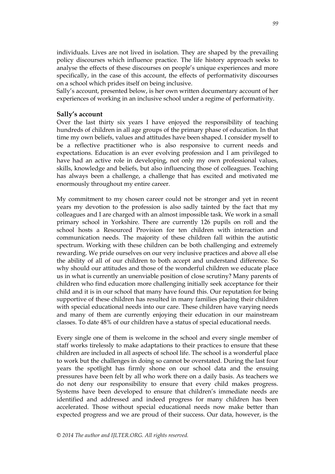individuals. Lives are not lived in isolation. They are shaped by the prevailing policy discourses which influence practice. The life history approach seeks to analyse the effects of these discourses on people's unique experiences and more specifically, in the case of this account, the effects of performativity discourses on a school which prides itself on being inclusive.

Sally"s account, presented below, is her own written documentary account of her experiences of working in an inclusive school under a regime of performativity.

# **Sally's account**

Over the last thirty six years I have enjoyed the responsibility of teaching hundreds of children in all age groups of the primary phase of education. In that time my own beliefs, values and attitudes have been shaped. I consider myself to be a reflective practitioner who is also responsive to current needs and expectations. Education is an ever evolving profession and I am privileged to have had an active role in developing, not only my own professional values, skills, knowledge and beliefs, but also influencing those of colleagues. Teaching has always been a challenge, a challenge that has excited and motivated me enormously throughout my entire career.

My commitment to my chosen career could not be stronger and yet in recent years my devotion to the profession is also sadly tainted by the fact that my colleagues and I are charged with an almost impossible task. We work in a small primary school in Yorkshire. There are currently 126 pupils on roll and the school hosts a Resourced Provision for ten children with interaction and communication needs. The majority of these children fall within the autistic spectrum. Working with these children can be both challenging and extremely rewarding. We pride ourselves on our very inclusive practices and above all else the ability of all of our children to both accept and understand difference. So why should our attitudes and those of the wonderful children we educate place us in what is currently an unenviable position of close scrutiny? Many parents of children who find education more challenging initially seek acceptance for their child and it is in our school that many have found this. Our reputation for being supportive of these children has resulted in many families placing their children with special educational needs into our care. These children have varying needs and many of them are currently enjoying their education in our mainstream classes. To date 48% of our children have a status of special educational needs.

Every single one of them is welcome in the school and every single member of staff works tirelessly to make adaptations to their practices to ensure that these children are included in all aspects of school life. The school is a wonderful place to work but the challenges in doing so cannot be overstated. During the last four years the spotlight has firmly shone on our school data and the ensuing pressures have been felt by all who work there on a daily basis. As teachers we do not deny our responsibility to ensure that every child makes progress. Systems have been developed to ensure that children"s immediate needs are identified and addressed and indeed progress for many children has been accelerated. Those without special educational needs now make better than expected progress and we are proud of their success. Our data, however, is the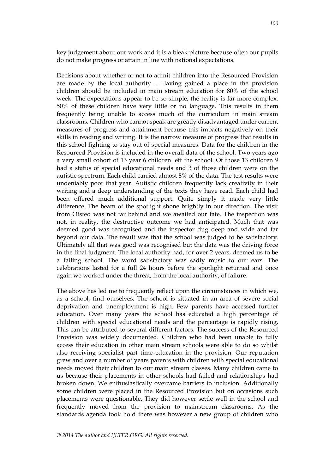key judgement about our work and it is a bleak picture because often our pupils do not make progress or attain in line with national expectations.

Decisions about whether or not to admit children into the Resourced Provision are made by the local authority. . Having gained a place in the provision children should be included in main stream education for 80% of the school week. The expectations appear to be so simple; the reality is far more complex. 50% of these children have very little or no language. This results in them frequently being unable to access much of the curriculum in main stream classrooms. Children who cannot speak are greatly disadvantaged under current measures of progress and attainment because this impacts negatively on their skills in reading and writing. It is the narrow measure of progress that results in this school fighting to stay out of special measures. Data for the children in the Resourced Provision is included in the overall data of the school. Two years ago a very small cohort of 13 year 6 children left the school. Of those 13 children 9 had a status of special educational needs and 3 of those children were on the autistic spectrum. Each child carried almost 8% of the data. The test results were undeniably poor that year. Autistic children frequently lack creativity in their writing and a deep understanding of the texts they have read. Each child had been offered much additional support. Quite simply it made very little difference. The beam of the spotlight shone brightly in our direction. The visit from Ofsted was not far behind and we awaited our fate. The inspection was not, in reality, the destructive outcome we had anticipated. Much that was deemed good was recognised and the inspector dug deep and wide and far beyond our data. The result was that the school was judged to be satisfactory. Ultimately all that was good was recognised but the data was the driving force in the final judgment. The local authority had, for over 2 years, deemed us to be a failing school. The word satisfactory was sadly music to our ears. The celebrations lasted for a full 24 hours before the spotlight returned and once again we worked under the threat, from the local authority, of failure.

The above has led me to frequently reflect upon the circumstances in which we, as a school, find ourselves. The school is situated in an area of severe social deprivation and unemployment is high. Few parents have accessed further education. Over many years the school has educated a high percentage of children with special educational needs and the percentage is rapidly rising. This can be attributed to several different factors. The success of the Resourced Provision was widely documented. Children who had been unable to fully access their education in other main stream schools were able to do so whilst also receiving specialist part time education in the provision. Our reputation grew and over a number of years parents with children with special educational needs moved their children to our main stream classes. Many children came to us because their placements in other schools had failed and relationships had broken down. We enthusiastically overcame barriers to inclusion. Additionally some children were placed in the Resourced Provision but on occasions such placements were questionable. They did however settle well in the school and frequently moved from the provision to mainstream classrooms. As the standards agenda took hold there was however a new group of children who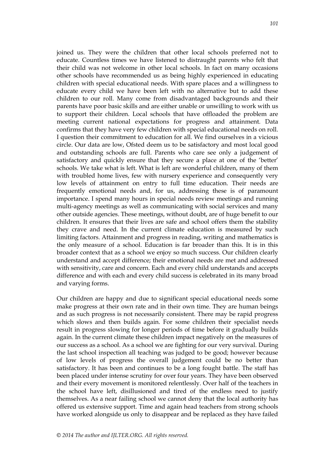joined us. They were the children that other local schools preferred not to educate. Countless times we have listened to distraught parents who felt that their child was not welcome in other local schools. In fact on many occasions other schools have recommended us as being highly experienced in educating children with special educational needs. With spare places and a willingness to educate every child we have been left with no alternative but to add these children to our roll. Many come from disadvantaged backgrounds and their parents have poor basic skills and are either unable or unwilling to work with us to support their children. Local schools that have offloaded the problem are meeting current national expectations for progress and attainment. Data confirms that they have very few children with special educational needs on roll. I question their commitment to education for all. We find ourselves in a vicious circle. Our data are low, Ofsted deem us to be satisfactory and most local good and outstanding schools are full. Parents who care see only a judgement of satisfactory and quickly ensure that they secure a place at one of the "better" schools. We take what is left. What is left are wonderful children, many of them with troubled home lives, few with nursery experience and consequently very low levels of attainment on entry to full time education. Their needs are frequently emotional needs and, for us, addressing these is of paramount importance. I spend many hours in special needs review meetings and running multi-agency meetings as well as communicating with social services and many other outside agencies. These meetings, without doubt, are of huge benefit to our children. It ensures that their lives are safe and school offers them the stability they crave and need. In the current climate education is measured by such limiting factors. Attainment and progress in reading, writing and mathematics is the only measure of a school. Education is far broader than this. It is in this broader context that as a school we enjoy so much success. Our children clearly understand and accept difference; their emotional needs are met and addressed with sensitivity, care and concern. Each and every child understands and accepts difference and with each and every child success is celebrated in its many broad and varying forms.

Our children are happy and due to significant special educational needs some make progress at their own rate and in their own time. They are human beings and as such progress is not necessarily consistent. There may be rapid progress which slows and then builds again. For some children their specialist needs result in progress slowing for longer periods of time before it gradually builds again. In the current climate these children impact negatively on the measures of our success as a school. As a school we are fighting for our very survival. During the last school inspection all teaching was judged to be good; however because of low levels of progress the overall judgement could be no better than satisfactory. It has been and continues to be a long fought battle. The staff has been placed under intense scrutiny for over four years. They have been observed and their every movement is monitored relentlessly. Over half of the teachers in the school have left, disillusioned and tired of the endless need to justify themselves. As a near failing school we cannot deny that the local authority has offered us extensive support. Time and again head teachers from strong schools have worked alongside us only to disappear and be replaced as they have failed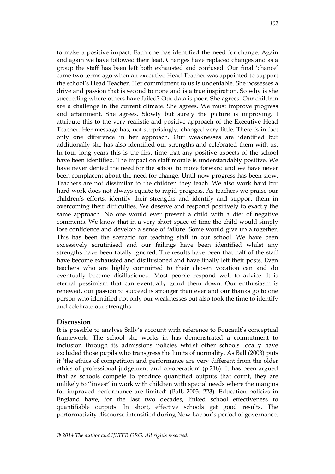to make a positive impact. Each one has identified the need for change. Again and again we have followed their lead. Changes have replaced changes and as a group the staff has been left both exhausted and confused. Our final "chance" came two terms ago when an executive Head Teacher was appointed to support the school"s Head Teacher. Her commitment to us is undeniable. She possesses a drive and passion that is second to none and is a true inspiration. So why is she succeeding where others have failed? Our data is poor. She agrees. Our children are a challenge in the current climate. She agrees. We must improve progress and attainment. She agrees. Slowly but surely the picture is improving. I attribute this to the very realistic and positive approach of the Executive Head Teacher. Her message has, not surprisingly, changed very little. There is in fact only one difference in her approach. Our weaknesses are identified but additionally she has also identified our strengths and celebrated them with us. In four long years this is the first time that any positive aspects of the school have been identified. The impact on staff morale is understandably positive. We have never denied the need for the school to move forward and we have never been complacent about the need for change. Until now progress has been slow. Teachers are not dissimilar to the children they teach. We also work hard but hard work does not always equate to rapid progress. As teachers we praise our children"s efforts, identify their strengths and identify and support them in overcoming their difficulties. We deserve and respond positively to exactly the same approach. No one would ever present a child with a diet of negative comments. We know that in a very short space of time the child would simply lose confidence and develop a sense of failure. Some would give up altogether. This has been the scenario for teaching staff in our school. We have been excessively scrutinised and our failings have been identified whilst any strengths have been totally ignored. The results have been that half of the staff have become exhausted and disillusioned and have finally left their posts. Even teachers who are highly committed to their chosen vocation can and do eventually become disillusioned. Most people respond well to advice. It is eternal pessimism that can eventually grind them down. Our enthusiasm is renewed, our passion to succeed is stronger than ever and our thanks go to one person who identified not only our weaknesses but also took the time to identify and celebrate our strengths.

#### **Discussion**

It is possible to analyse Sally's account with reference to Foucault's conceptual framework. The school she works in has demonstrated a commitment to inclusion through its admissions policies whilst other schools locally have excluded those pupils who transgress the limits of normality. As Ball (2003) puts it "the ethics of competition and performance are very different from the older ethics of professional judgement and co-operation' (p.218). It has been argued that as schools compete to produce quantified outputs that count, they are unlikely to ""invest" in work with children with special needs where the margins for improved performance are limited" (Ball, 2003: 223). Education policies in England have, for the last two decades, linked school effectiveness to quantifiable outputs. In short, effective schools get good results. The performativity discourse intensified during New Labour"s period of governance.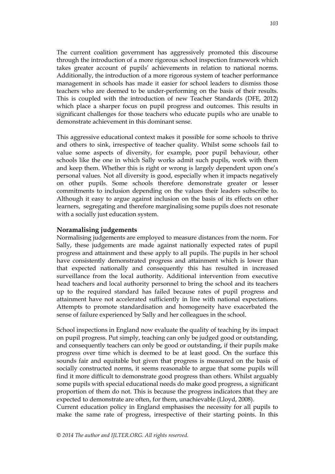The current coalition government has aggressively promoted this discourse through the introduction of a more rigorous school inspection framework which takes greater account of pupils' achievements in relation to national norms. Additionally, the introduction of a more rigorous system of teacher performance management in schools has made it easier for school leaders to dismiss those teachers who are deemed to be under-performing on the basis of their results. This is coupled with the introduction of new Teacher Standards (DFE, 2012) which place a sharper focus on pupil progress and outcomes. This results in significant challenges for those teachers who educate pupils who are unable to demonstrate achievement in this dominant sense.

This aggressive educational context makes it possible for some schools to thrive and others to sink, irrespective of teacher quality. Whilst some schools fail to value some aspects of diversity, for example, poor pupil behaviour, other schools like the one in which Sally works admit such pupils, work with them and keep them. Whether this is right or wrong is largely dependent upon one's personal values. Not all diversity is good, especially when it impacts negatively on other pupils. Some schools therefore demonstrate greater or lesser commitments to inclusion depending on the values their leaders subscribe to. Although it easy to argue against inclusion on the basis of its effects on other learners, segregating and therefore marginalising some pupils does not resonate with a socially just education system.

# **Noramalising judgements**

Normalising judgements are employed to measure distances from the norm. For Sally, these judgements are made against nationally expected rates of pupil progress and attainment and these apply to all pupils. The pupils in her school have consistently demonstrated progress and attainment which is lower than that expected nationally and consequently this has resulted in increased surveillance from the local authority. Additional intervention from executive head teachers and local authority personnel to bring the school and its teachers up to the required standard has failed because rates of pupil progress and attainment have not accelerated sufficiently in line with national expectations. Attempts to promote standardisation and homogeneity have exacerbated the sense of failure experienced by Sally and her colleagues in the school.

School inspections in England now evaluate the quality of teaching by its impact on pupil progress. Put simply, teaching can only be judged good or outstanding, and consequently teachers can only be good or outstanding, if their pupils make progress over time which is deemed to be at least good. On the surface this sounds fair and equitable but given that progress is measured on the basis of socially constructed norms, it seems reasonable to argue that some pupils will find it more difficult to demonstrate good progress than others. Whilst arguably some pupils with special educational needs do make good progress, a significant proportion of them do not. This is because the progress indicators that they are expected to demonstrate are often, for them, unachievable (Lloyd, 2008).

Current education policy in England emphasises the necessity for all pupils to make the same rate of progress, irrespective of their starting points. In this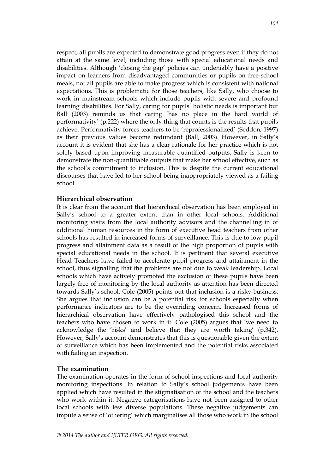respect, all pupils are expected to demonstrate good progress even if they do not attain at the same level, including those with special educational needs and disabilities. Although 'closing the gap' policies can undeniably have a positive impact on learners from disadvantaged communities or pupils on free-school meals, not all pupils are able to make progress which is consistent with national expectations. This is problematic for those teachers, like Sally, who choose to work in mainstream schools which include pupils with severe and profound learning disabilities. For Sally, caring for pupils' holistic needs is important but Ball (2003) reminds us that caring "has no place in the hard world of performativity" (p.222) where the only thing that counts is the results that pupils achieve. Performativity forces teachers to be "reprofessionalized" (Seddon, 1997) as their previous values become redundant (Ball, 2003). However, in Sally"s account it is evident that she has a clear rationale for her practice which is not solely based upon improving measurable quantified outputs. Sally is keen to demonstrate the non-quantifiable outputs that make her school effective, such as the school"s commitment to inclusion. This is despite the current educational discourses that have led to her school being inappropriately viewed as a failing school.

### **Hierarchical observation**

It is clear from the account that hierarchical observation has been employed in Sally"s school to a greater extent than in other local schools. Additional monitoring visits from the local authority advisors and the channelling in of additional human resources in the form of executive head teachers from other schools has resulted in increased forms of surveillance. This is due to low pupil progress and attainment data as a result of the high proportion of pupils with special educational needs in the school. It is pertinent that several executive Head Teachers have failed to accelerate pupil progress and attainment in the school, thus signalling that the problems are not due to weak leadership. Local schools which have actively promoted the exclusion of these pupils have been largely free of monitoring by the local authority as attention has been directed towards Sally"s school. Cole (2005) points out that inclusion is a risky business. She argues that inclusion can be a potential risk for schools especially when performance indicators are to be the overriding concern. Increased forms of hierarchical observation have effectively pathologised this school and the teachers who have chosen to work in it. Cole (2005) argues that "we need to acknowledge the 'risks' and believe that they are worth taking'  $(p.342)$ . However, Sally"s account demonstrates that this is questionable given the extent of surveillance which has been implemented and the potential risks associated with failing an inspection.

# **The examination**

The examination operates in the form of school inspections and local authority monitoring inspections. In relation to Sally"s school judgements have been applied which have resulted in the stigmatisation of the school and the teachers who work within it. Negative categorisations have not been assigned to other local schools with less diverse populations. These negative judgements can impute a sense of "othering" which marginalises all those who work in the school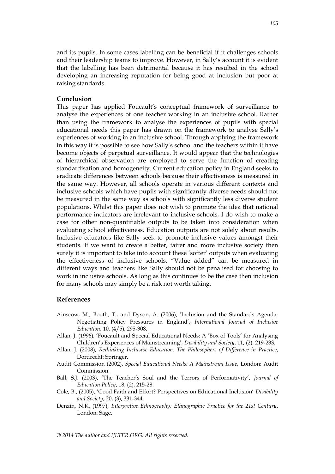and its pupils. In some cases labelling can be beneficial if it challenges schools and their leadership teams to improve. However, in Sally"s account it is evident that the labelling has been detrimental because it has resulted in the school developing an increasing reputation for being good at inclusion but poor at raising standards.

#### **Conclusion**

This paper has applied Foucault's conceptual framework of surveillance to analyse the experiences of one teacher working in an inclusive school. Rather than using the framework to analyse the experiences of pupils with special educational needs this paper has drawn on the framework to analyse Sally"s experiences of working in an inclusive school. Through applying the framework in this way it is possible to see how Sally"s school and the teachers within it have become objects of perpetual surveillance. It would appear that the technologies of hierarchical observation are employed to serve the function of creating standardisation and homogeneity. Current education policy in England seeks to eradicate differences between schools because their effectiveness is measured in the same way. However, all schools operate in various different contexts and inclusive schools which have pupils with significantly diverse needs should not be measured in the same way as schools with significantly less diverse student populations. Whilst this paper does not wish to promote the idea that national performance indicators are irrelevant to inclusive schools, I do wish to make a case for other non-quantifiable outputs to be taken into consideration when evaluating school effectiveness. Education outputs are not solely about results. Inclusive educators like Sally seek to promote inclusive values amongst their students. If we want to create a better, fairer and more inclusive society then surely it is important to take into account these "softer" outputs when evaluating the effectiveness of inclusive schools. "Value added" can be measured in different ways and teachers like Sally should not be penalised for choosing to work in inclusive schools. As long as this continues to be the case then inclusion for many schools may simply be a risk not worth taking.

#### **References**

- Ainscow, M., Booth, T., and Dyson, A. (2006), "Inclusion and the Standards Agenda: Negotiating Policy Pressures in England", *International Journal of Inclusive Education*, 10, (4/5), 295-308.
- Allan, J. (1996), "Foucault and Special Educational Needs: A "Box of Tools" for Analysing Children"s Experiences of Mainstreaming", *Disability and Society*, 11, (2), 219-233.
- Allan, J. (2008), *Rethinking Inclusive Education: The Philosophers of Difference in Practice*, Dordrecht: Springer.
- Audit Commission (2002), *Special Educational Needs: A Mainstream Issue*, London: Audit Commission.
- Ball, S.J. (2003), 'The Teacher's Soul and the Terrors of Performativity', *Journal of Education Policy*, 18, (2), 215-28.
- Cole, B., (2005), "Good Faith and Effort? Perspectives on Educational Inclusion" *Disability and Society*, 20, (3), 331-344.
- Denzin, N.K. (1997), *Interpretive Ethnography: Ethnographic Practice for the 21st Century*, London: Sage.

*© 2014 The author and IJLTER.ORG. All rights reserved.*